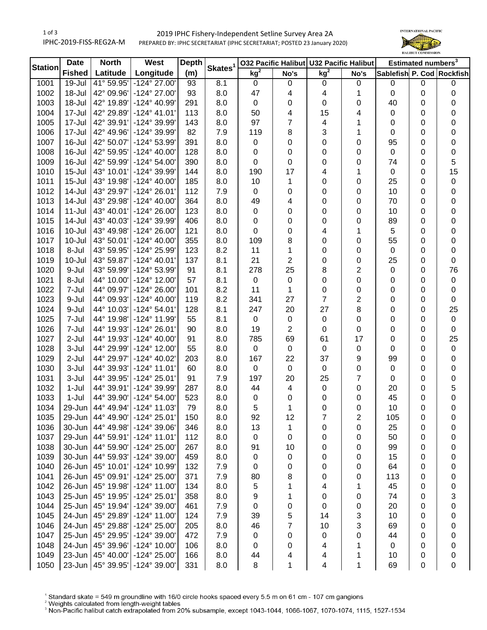## 1 of 3 IPHC-2019-FISS-REG2A-M 2019 IPHC Fishery-Independent Setline Survey Area 2A PREPARED BY: IPHC SECRETARIAT (IPHC SECRETARIAT; POSTED 23 January 2020)



| <b>Station</b> | <b>Date</b>   | <b>North</b> | West                  | <b>Depth</b> | Skates <sup>1</sup> |                 |      | 032 Pacific Halibut U32 Pacific Halibut |                         | Estimated numbers <sup>3</sup> |   |                           |
|----------------|---------------|--------------|-----------------------|--------------|---------------------|-----------------|------|-----------------------------------------|-------------------------|--------------------------------|---|---------------------------|
|                | <b>Fished</b> | Latitude     | Longitude             | (m)          |                     | kg <sup>2</sup> | No's | kg <sup>2</sup>                         | No's                    |                                |   | Sablefish P. Cod Rockfish |
| 1001           | 19-Jul        | 41° 59.95'   | $-124^{\circ} 27.00$  | 93           | 8.1                 | 0               | 0    | 0                                       | $\boldsymbol{0}$        | 0                              | 0 | 0                         |
| 1002           | 18-Jul        | 42° 09.96'   | -124° 27.00'          | 93           | 8.0                 | 47              | 4    | 4                                       | 1                       | 0                              | 0 | 0                         |
| 1003           | 18-Jul        | 42° 19.89'   | -124° 40.99'          | 291          | 8.0                 | 0               | 0    | 0                                       | 0                       | 40                             | 0 | 0                         |
| 1004           | 17-Jul        | 42° 29.89'   | $-124^{\circ}$ 41.01' | 113          | 8.0                 | 50              | 4    | 15                                      | 4                       | 0                              | 0 | 0                         |
| 1005           | 17-Jul        | 42° 39.91'   | -124° 39.99'          | 143          | 8.0                 | 97              | 7    | 4                                       | 1                       | 0                              | 0 | 0                         |
| 1006           | 17-Jul        | 42° 49.96'   | -124° 39.99'          | 82           | 7.9                 | 119             | 8    | 3                                       | 1                       | 0                              | 0 | 0                         |
| 1007           | 16-Jul        | 42° 50.07'   | -124° 53.99'          | 391          | 8.0                 | 0               | 0    | 0                                       | 0                       | 95                             | 0 | 0                         |
| 1008           | 16-Jul        | 42° 59.95'   | $-124^{\circ}$ 40.00' | 128          | 8.0                 | 0               | 0    | 0                                       | 0                       | $\mathbf 0$                    | 0 | 0                         |
| 1009           | 16-Jul        | 42° 59.99'   | $-124^{\circ} 54.00'$ | 390          | 8.0                 | 0               | 0    | 0                                       | 0                       | 74                             | 0 | 5                         |
| 1010           | $15 -$ Jul    | 43° 10.01'   | -124° 39.99'          | 144          | 8.0                 | 190             | 17   | 4                                       | 1                       | $\pmb{0}$                      | 0 | 15                        |
| 1011           | $15 -$ Jul    | 43° 19.98'   | $-124^{\circ}$ 40.00' | 185          | 8.0                 | 10              | 1    | 0                                       | $\mathbf 0$             | 25                             | 0 | $\pmb{0}$                 |
| 1012           | 14-Jul        | 43° 29.97'   | $-124^{\circ} 26.01'$ | 112          | 7.9                 | 0               | 0    | 0                                       | 0                       | 10                             | 0 | 0                         |
| 1013           | 14-Jul        | 43° 29.98'   | $-124^{\circ}$ 40.00' | 364          | 8.0                 | 49              | 4    | 0                                       | 0                       | 70                             | 0 | 0                         |
| 1014           | $11 -$ Jul    | 43° 40.01'   | $-124^{\circ} 26.00'$ | 123          | 8.0                 | 0               | 0    | 0                                       | 0                       | 10                             | 0 | 0                         |
| 1015           | 14-Jul        | 43° 40.03'   | -124° 39.99'          | 406          | 8.0                 | 0               | 0    | 0                                       | $\mathbf 0$             | 89                             | 0 | 0                         |
| 1016           | 10-Jul        | 43° 49.98'   | $-124^{\circ} 26.00'$ | 121          | 8.0                 | 0               | 0    | 4                                       | 1                       | 5                              | 0 | 0                         |
| 1017           | $10 -$ Jul    | 43° 50.01'   | $-124^{\circ}$ 40.00' | 355          | 8.0                 | 109             | 8    | 0                                       | 0                       | 55                             | 0 | 0                         |
| 1018           | 8-Jul         | 43° 59.95'   | -124° 25.99'          | 123          | 8.2                 | 11              | 1    | 0                                       | 0                       | 0                              | 0 | 0                         |
| 1019           | 10-Jul        | 43° 59.87'   | $-124^{\circ}$ 40.01' | 137          | 8.1                 | 21              | 2    | 0                                       | 0                       | 25                             | 0 | 0                         |
| 1020           | 9-Jul         | 43° 59.99'   | -124° 53.99'          | 91           | 8.1                 | 278             | 25   | 8                                       | $\overline{c}$          | 0                              | 0 | 76                        |
| 1021           | 8-Jul         | 44° 10.00'   | $-124^{\circ}$ 12.00' | 57           | 8.1                 | $\,0\,$         | 0    | 0                                       | 0                       | 0                              | 0 | $\pmb{0}$                 |
| 1022           | 7-Jul         | 44° 09.97'   | $-124^{\circ} 26.00'$ | 101          | 8.2                 | 11              | 1    | 0                                       | 0                       | 0                              | 0 | 0                         |
| 1023           | 9-Jul         | 44° 09.93'   | $-124^{\circ}$ 40.00' | 119          | 8.2                 | 341             | 27   | $\overline{7}$                          | $\overline{\mathbf{c}}$ | 0                              | 0 | 0                         |
| 1024           | 9-Jul         | 44° 10.03'   | $-124^{\circ} 54.01'$ | 128          | 8.1                 | 247             | 20   | 27                                      | 8                       | 0                              | 0 | 25                        |
| 1025           | 7-Jul         | 44° 19.98'   | -124° 11.99'          | 55           | 8.1                 | $\pmb{0}$       | 0    | $\pmb{0}$                               | 0                       | 0                              | 0 | $\pmb{0}$                 |
| 1026           | 7-Jul         | 44° 19.93'   | $-124^{\circ} 26.01'$ | 90           | 8.0                 | 19              | 2    | 0                                       | 0                       | 0                              | 0 | 0                         |
| 1027           | 2-Jul         | 44° 19.93'   | $-124^{\circ}$ 40.00' | 91           | 8.0                 | 785             | 69   | 61                                      | 17                      | 0                              | 0 | 25                        |
| 1028           | 3-Jul         | 44° 29.99'   | $-124^{\circ}$ 12.00' | 55           | 8.0                 | 0               | 0    | $\pmb{0}$                               | $\boldsymbol{0}$        | 0                              | 0 | $\pmb{0}$                 |
| 1029           | 2-Jul         | 44° 29.97'   | -124° 40.02'          | 203          | 8.0                 | 167             | 22   | 37                                      | 9                       | 99                             | 0 | $\pmb{0}$                 |
| 1030           | 3-Jul         | 44° 39.93'   | $-124^{\circ}$ 11.01' | 60           | 8.0                 | $\pmb{0}$       | 0    | $\mathsf 0$                             | $\boldsymbol{0}$        | $\pmb{0}$                      | 0 | $\pmb{0}$                 |
| 1031           | 3-Jul         | 44° 39.95'   | $-124^{\circ} 25.01'$ | 91           | 7.9                 | 197             | 20   | 25                                      | $\overline{7}$          | $\mathbf 0$                    | 0 | $\pmb{0}$                 |
| 1032           | 1-Jul         | 44° 39.91'   | -124° 39.99'          | 287          | 8.0                 | 44              | 4    | 0                                       | $\boldsymbol{0}$        | 20                             | 0 | 5                         |
| 1033           | $1-Jul$       | 44° 39.90'   | $-124^{\circ} 54.00'$ | 523          | 8.0                 | 0               | 0    | 0                                       | 0                       | 45                             | 0 | 0                         |
| 1034           | 29-Jun        | 44° 49.94'   | $-124^{\circ}$ 11.03' | 79           | 8.0                 | 5               | 1    | 0                                       | 0                       | 10                             | 0 | 0                         |
| 1035           | 29-Jun        | 44° 49.90'   | $-124^{\circ} 25.01$  | 150          | 8.0                 | 92              | 12   | ı                                       | 2                       | 105                            | 0 | 0                         |
| 1036           | 30-Jun        | 44° 49.98'   | -124° 39.06'          | 346          | 8.0                 | 13              | 1    | 0                                       | 0                       | 25                             | 0 | 0                         |
| 1037           | 29-Jun        | 44° 59.91'   | $-124^{\circ}$ 11.01' | 112          | 8.0                 | 0               | 0    | 0                                       | 0                       | 50                             | 0 | 0                         |
| 1038           | 30-Jun        | 44° 59.90'   | -124° 25.00'          | 267          | 8.0                 | 91              | 10   | 0                                       | 0                       | 99                             | 0 | 0                         |
| 1039           | 30-Jun        | 44° 59.93'   | -124° 39.00'          | 459          | 8.0                 | 0               | 0    | 0                                       | 0                       | 15                             | 0 | 0                         |
| 1040           | 26-Jun        | 45° 10.01'   | -124° 10.99'          | 132          | 7.9                 | 0               | 0    | 0                                       |                         | 64                             | 0 |                           |
| 1041           | 26-Jun        | 45° 09.91'   | -124° 25.00'          | 371          | 7.9                 | 80              | 8    |                                         | 0<br>0                  | 113                            | 0 | 0                         |
| 1042           | 26-Jun        | 45° 19.98'   | $-124^{\circ}$ 11.00  | 134          | 8.0                 |                 | 1    | 0                                       |                         | 45                             |   | 0                         |
| 1043           | 25-Jun        | 45° 19.95'   | $-124^{\circ} 25.01'$ | 358          |                     | 5               |      | 4                                       | 1                       | 74                             | 0 | 0                         |
|                | 25-Jun        | 45° 19.94'   | $-124^{\circ} 39.00'$ |              | 8.0                 | 9               | 1    | 0                                       | 0                       |                                | 0 | 3                         |
| 1044           |               |              |                       | 461          | 7.9                 | 0               | 0    | 0                                       | 0                       | 20                             | 0 | 0                         |
| 1045           | 24-Jun        | 45° 29.89'   | $-124^{\circ}$ 11.00  | 124          | 7.9                 | 39              | 5    | 14                                      | 3                       | 10                             | 0 | 0                         |
| 1046           | 24-Jun        | 45° 29.88'   | -124° 25.00'          | 205          | 8.0                 | 46              | 7    | 10                                      | 3                       | 69                             | 0 | 0                         |
| 1047           | 25-Jun        | 45° 29.95'   | -124° 39.00'          | 472          | 7.9                 | $\pmb{0}$       | 0    | 0                                       | 0                       | 44                             | 0 | 0                         |
| 1048           | 24-Jun        | 45° 39.96'   | $-124^{\circ}$ 10.00' | 106          | 8.0                 | 0               | 0    | 4                                       | 1                       | 0                              | 0 | 0                         |
| 1049           | 23-Jun        | 45° 40.00'   | -124° 25.00'          | 166          | 8.0                 | 44              | 4    | 4                                       | 1                       | 10                             | 0 | 0                         |
| 1050           | $23$ -Jun $ $ | 45° 39.95'   | $-124^{\circ}$ 39.00  | 331          | 8.0                 | 8               | 1    | 4                                       | 1                       | 69                             | 0 | 0                         |

 $^1$  Standard skate = 549 m groundline with 16/0 circle hooks spaced every 5.5 m on 61 cm - 107 cm gangions<br><sup>2</sup> Weights calculated from length-weight tables<br><sup>3</sup> Non-Pacific halibut catch extrapolated from 20% subsample, e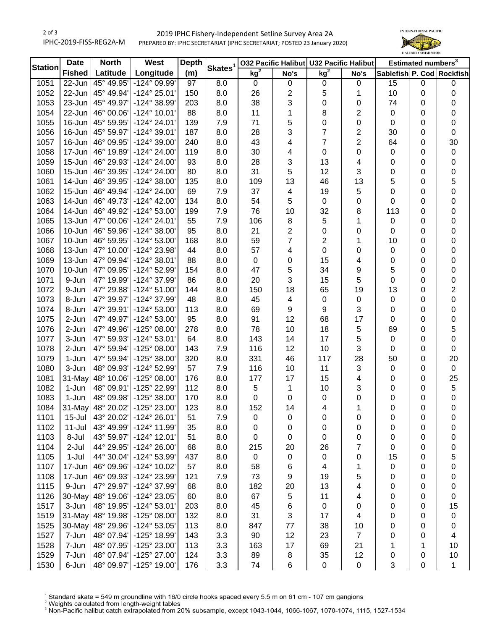## 2 of 3 IPHC-2019-FISS-REG2A-M 2019 IPHC Fishery-Independent Setline Survey Area 2A PREPARED BY: IPHC SECRETARIAT (IPHC SECRETARIAT; POSTED 23 January 2020)



| <b>Station</b> | <b>Date</b>   | <b>North</b> | West                  | <b>Depth</b> | Skates <sup>1</sup> |                 |                         | 032 Pacific Halibut U32 Pacific Halibut |                         | Estimated numbers <sup>3</sup> |             |                           |
|----------------|---------------|--------------|-----------------------|--------------|---------------------|-----------------|-------------------------|-----------------------------------------|-------------------------|--------------------------------|-------------|---------------------------|
|                | <b>Fished</b> | Latitude     | Longitude             | (m)          |                     | kg <sup>2</sup> | No's                    | kg <sup>2</sup>                         | No's                    |                                |             | Sablefish P. Cod Rockfish |
| 1051           | 22-Jun        | 45° 49.95'   | -124° 09.99'          | 97           | 8.0                 | 0               | $\pmb{0}$               | $\pmb{0}$                               | $\mathbf 0$             | 15                             | $\mathbf 0$ | 0                         |
| 1052           | 22-Jun        | 45° 49.94'   | $-124^{\circ} 25.01'$ | 150          | 8.0                 | 26              | $\overline{\mathbf{c}}$ | 5                                       | 1                       | 10                             | 0           | 0                         |
| 1053           | 23-Jun        | 45° 49.97'   | -124° 38.99'          | 203          | 8.0                 | 38              | 3                       | 0                                       | 0                       | 74                             | 0           | 0                         |
| 1054           | 22-Jun        | 46° 00.06'   | $-124^{\circ}$ 10.01' | 88           | 8.0                 | 11              | 1                       | 8                                       | $\overline{\mathbf{c}}$ | $\mathbf 0$                    | 0           | 0                         |
| 1055           | 16-Jun        | 45° 59.95'   | -124° 24.01'          | 139          | 7.9                 | 71              | 5                       | 0                                       | 0                       | $\mathbf 0$                    | 0           | 0                         |
| 1056           | 16-Jun        | 45° 59.97'   | -124° 39.01'          | 187          | 8.0                 | 28              | 3                       | 7                                       | 2                       | 30                             | 0           | 0                         |
| 1057           | 16-Jun        | 46° 09.95'   | -124° 39.00'          | 240          | 8.0                 | 43              | 4                       | 7                                       | $\overline{\mathbf{c}}$ | 64                             | 0           | 30                        |
| 1058           | 17-Jun        | 46° 19.89'   | -124° 24.00'          | 119          | 8.0                 | 30              | 4                       | 0                                       | 0                       | $\mathbf 0$                    | 0           | 0                         |
| 1059           | 15-Jun        | 46° 29.93'   | $-124^{\circ} 24.00'$ | 93           | 8.0                 | 28              | 3                       | 13                                      | 4                       | 0                              | 0           | 0                         |
| 1060           | 15-Jun        | 46° 39.95'   | $-124^{\circ} 24.00'$ | 80           | 8.0                 | 31              | 5                       | 12                                      | 3                       | 0                              | 0           | 0                         |
| 1061           | 14-Jun        | 46° 39.95'   | $-124^{\circ}38.00'$  | 135          | 8.0                 | 109             | 13                      | 46                                      | 13                      | 5                              | 0           | 5                         |
| 1062           | 15-Jun        | 46° 49.94'   | -124° 24.00'          | 69           | 7.9                 | 37              | 4                       | 19                                      | 5                       | 0                              | 0           | 0                         |
| 1063           | 14-Jun        | 46° 49.73'   | $-124^{\circ}$ 42.00' | 134          | 8.0                 | 54              | 5                       | $\pmb{0}$                               | 0                       | 0                              | 0           | $\mathbf 0$               |
| 1064           | 14-Jun        | 46° 49.92'   | $-124^{\circ} 53.00'$ | 199          | 7.9                 | 76              | 10                      | 32                                      | 8                       | 113                            | 0           | 0                         |
| 1065           | $13 - Jun$    | 47° 00.06'   | $-124^{\circ} 24.01'$ | 55           | 7.9                 | 106             | 8                       | 5                                       | 1                       | $\mathbf 0$                    | 0           | 0                         |
| 1066           | 10-Jun        | 46° 59.96'   | $-124^{\circ} 38.00'$ | 95           | 8.0                 | 21              | 2                       | 0                                       | 0                       | 0                              | 0           | 0                         |
| 1067           | 10-Jun        | 46° 59.95'   | -124° 53.00'          | 168          | 8.0                 | 59              | 7                       | 2                                       | 1                       | 10                             | 0           | 0                         |
| 1068           | 13-Jun        | 47° 10.00'   | -124° 23.98'          | 44           | 8.0                 | 57              | 4                       | 0                                       | 0                       | 0                              | 0           | 0                         |
| 1069           | 13-Jun        | 47° 09.94'   | -124° 38.01'          | 88           | 8.0                 | $\pmb{0}$       | 0                       | 15                                      | 4                       | 0                              | 0           | 0                         |
| 1070           | 10-Jun        | 47° 09.95'   | -124° 52.99'          | 154          | 8.0                 | 47              | 5                       | 34                                      | 9                       | 5                              | 0           | 0                         |
| 1071           | 9-Jun         | 47° 19.99'   | -124° 37.99'          | 86           | 8.0                 | 20              | 3                       | 15                                      | 5                       | 0                              | 0           | 0                         |
| 1072           | 9-Jun         | 47° 29.88'   | $-124^{\circ} 51.00'$ | 144          | 8.0                 | 150             | 18                      | 65                                      | 19                      | 13                             | 0           | 2                         |
| 1073           | 8-Jun         | 47° 39.97'   | -124° 37.99'          | 48           | 8.0                 | 45              | 4                       | 0                                       | 0                       | $\mathbf 0$                    | 0           | 0                         |
| 1074           | 8-Jun         | 47° 39.91'   | -124° 53.00'          | 113          | 8.0                 | 69              | 9                       | 9                                       | 3                       | 0                              | 0           | 0                         |
| 1075           | 2-Jun         | 47° 49.97'   | -124° 53.00'          | 95           | 8.0                 | 91              | 12                      | 68                                      | 17                      | 0                              | 0           | 0                         |
| 1076           | 2-Jun         | 47° 49.96'   | $-125^{\circ}$ 08.00' | 278          | 8.0                 | 78              | 10                      | 18                                      | 5                       | 69                             | 0           | 5                         |
| 1077           | 3-Jun         | 47° 59.93'   | $-124^{\circ}53.01'$  | 64           | 8.0                 | 143             | 14                      | 17                                      | 5                       | $\mathbf 0$                    | 0           | 0                         |
| 1078           | 2-Jun         | 47° 59.94'   | -125° 08.00'          | 143          | 7.9                 | 116             | 12                      | 10                                      | 3                       | $\mathbf 0$                    | 0           | 0                         |
| 1079           | 1-Jun         | 47° 59.94'   | -125° 38.00'          | 320          | 8.0                 | 331             | 46                      | 117                                     | 28                      | 50                             | 0           | 20                        |
| 1080           | 3-Jun         | 48° 09.93'   | -124° 52.99'          | 57           | 7.9                 | 116             | 10                      | 11                                      | 3                       | $\mathsf 0$                    | 0           | $\mathbf 0$               |
| 1081           | 31-May        | 48° 10.06'   | $-125^{\circ}$ 08.00' | 176          | 8.0                 | 177             | 17                      | 15                                      | 4                       | 0                              | 0           | 25                        |
| 1082           | 1-Jun         | 48° 09.91'   | -125° 22.99'          | 112          | 8.0                 | 5               | 1                       | 10                                      | 3                       | 0                              | 0           | $\sqrt{5}$                |
| 1083           | 1-Jun         | 48° 09.98'   | -125° 38.00'          | 170          | 8.0                 | 0               | 0                       | 0                                       | 0                       | 0                              | 0           | 0                         |
| 1084           | 31-May        | 48° 20.02'   | -125° 23.00'          | 123          | 8.0                 | 152             | 14                      | 4                                       | 1                       | 0                              | 0           | $\pmb{0}$                 |
| 1101           | $15 -$ Jul    | 43° 20.02'   | $-124^{\circ} 26.01'$ | 51           | 7.9                 | 0               | 0                       | 0                                       | 0                       | 0                              | 0           | 0                         |
| 1102           | $11 -$ Jul    | 43° 49.99'   | -124° 11.99'          | 35           | 8.0                 | 0               | 0                       | 0                                       | 0                       | 0                              | 0           | 0                         |
| 1103           | 8-Jul         | 43° 59.97'   | $-124^{\circ}$ 12.01' | 51           | 8.0                 | 0               | 0                       | 0                                       | 0                       | 0                              | 0           | 0                         |
| 1104           | 2-Jul         | 44° 29.95'   | -124° 26.00'          | 68           | 8.0                 | 215             | 20                      | 26                                      | 7                       | 0                              | 0           | 0                         |
| 1105           | $1-Jul$       | 44° 30.04'   | -124° 53.99'          | 437          | 8.0                 | $\pmb{0}$       | 0                       | 0                                       | 0                       | 15                             | 0           | 5                         |
| 1107           | 17-Jun        | 46° 09.96'   | -124° 10.02'          | 57           | 8.0                 | 58              | 6                       | 4                                       | 1                       | 0                              | 0           | 0                         |
| 1108           | 17-Jun        | 46° 09.93'   | -124° 23.99'          | 121          | 7.9                 | 73              | 9                       | 19                                      | 5                       | 0                              | 0           | 0                         |
| 1115           | 9-Jun         | 47° 29.97'   | -124° 37.99'          | 68           | 8.0                 | 182             | 20                      | 13                                      | 4                       | 0                              | 0           | 0                         |
| 1126           | 30-May        | 48° 19.06'   | -124° 23.05'          | 60           | 8.0                 | 67              | 5                       | 11                                      | 4                       | 0                              | 0           | 0                         |
| 1517           | 3-Jun         | 48° 19.95'   | $-124^{\circ} 53.01'$ | 203          | 8.0                 | 45              | 6                       | $\pmb{0}$                               | 0                       | 0                              | 0           | 15                        |
| 1519           | 31-May        | 48° 19.98'   | $-125^{\circ}$ 08.00' | 132          | 8.0                 | 31              | 3                       | 17                                      | 4                       | 0                              | 0           | 0                         |
| 1525           | 30-May        | 48° 29.96'   | -124° 53.05'          | 113          | 8.0                 | 847             | $77$                    | 38                                      | 10                      | 0                              | 0           | 0                         |
| 1527           | 7-Jun         | 48° 07.94'   | -125° 18.99'          | 143          | 3.3                 | 90              | 12                      | 23                                      | $\overline{7}$          | 0                              | 0           | 4                         |
| 1528           | 7-Jun         | 48° 07.95'   | -125° 23.00'          | 113          | 3.3                 | 163             | 17                      | 69                                      | 21                      | 1                              | 1           | 10                        |
| 1529           | 7-Jun         | 48° 07.94'   | -125° 27.00'          | 124          | 3.3                 | 89              | 8                       | 35                                      | 12                      | 0                              | 0           | 10                        |
| 1530           | 6-Jun         | 48° 09.97'   | -125° 19.00'          | 176          | 3.3                 | 74              | 6                       | 0                                       | 0                       | 3                              | 0           | $\mathbf 1$               |

 $^1$  Standard skate = 549 m groundline with 16/0 circle hooks spaced every 5.5 m on 61 cm - 107 cm gangions<br><sup>2</sup> Weights calculated from length-weight tables<br><sup>3</sup> Non-Pacific halibut catch extrapolated from 20% subsample, e